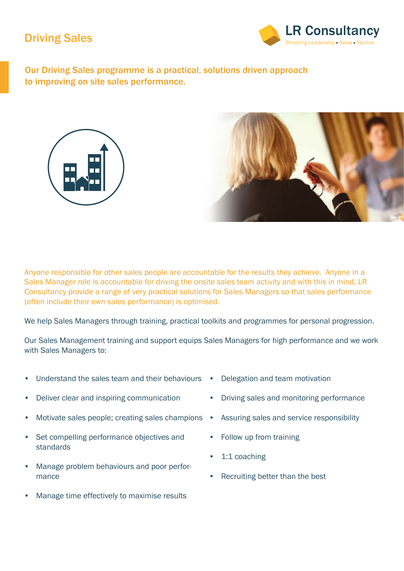## Driving Sales



Our Driving Sales programme is a practical, solutions driven approach to improving on site sales performance.





Anyone responsible for other sales people are accountable for the results they achieve. Anyone in a Sales Manager role is accountable for driving the onsite sales team activity and with this in mind, LR Consultancy provide a range of very practical solutions for Sales Managers so that sales performance (often include their own sales performance) is optimised.

We help Sales Managers through training, practical toolkits and programmes for personal progression.

Our Sales Management training and support equips Sales Managers for high performance and we work with Sales Managers to:

- Understand the sales team and their behaviours
- Deliver clear and inspiring communication
- Motivate sales people; creating sales champions
- Set compelling performance objectives and standards
- Manage problem behaviours and poor performance
- Manage time effectively to maximise results
- Delegation and team motivation
- Driving sales and monitoring performance
- Assuring sales and service responsibility
- Follow up from training
- 1:1 coaching
- Recruiting better than the best